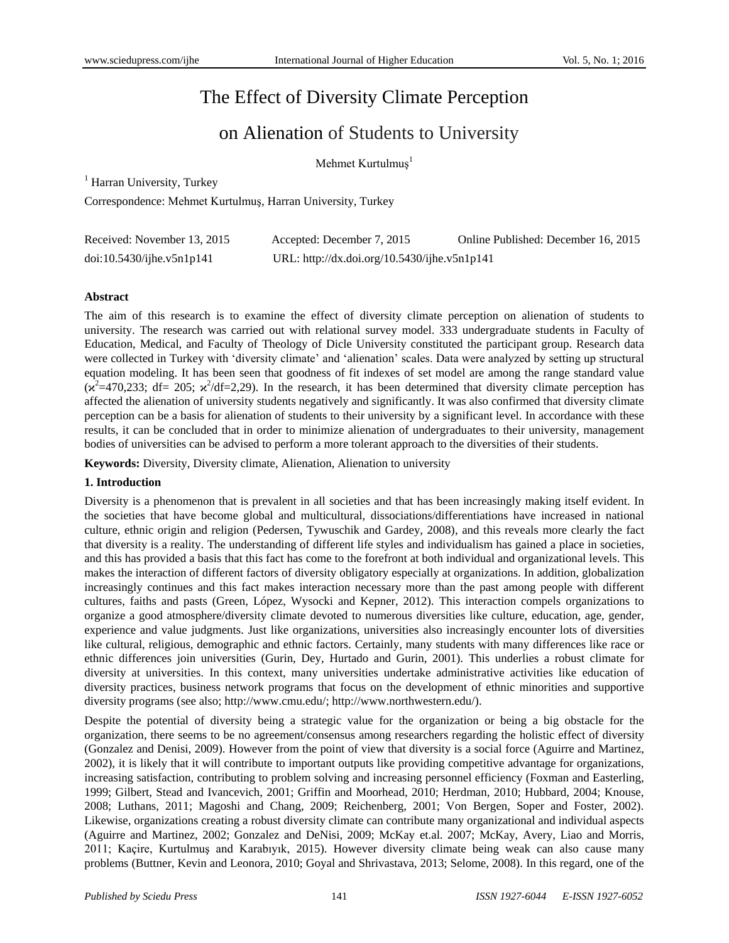# The Effect of Diversity Climate Perception

## on Alienation of Students to University

Mehmet Kurtulmus $<sup>1</sup>$ </sup>

<sup>1</sup> Harran University, Turkey

Correspondence: Mehmet Kurtulmuş, Harran University, Turkey

| Received: November 13, 2015 | Accepted: December 7, 2015                   | Online Published: December 16, 2015 |
|-----------------------------|----------------------------------------------|-------------------------------------|
| doi:10.5430/ijhe.v5n1p141   | URL: http://dx.doi.org/10.5430/ijhe.v5n1p141 |                                     |

## **Abstract**

The aim of this research is to examine the effect of diversity climate perception on alienation of students to university. The research was carried out with relational survey model. 333 undergraduate students in Faculty of Education, Medical, and Faculty of Theology of Dicle University constituted the participant group. Research data were collected in Turkey with 'diversity climate' and 'alienation' scales. Data were analyzed by setting up structural equation modeling. It has been seen that goodness of fit indexes of set model are among the range standard value  $(x^2=470,233; df = 205; x^2/df = 2,29)$ . In the research, it has been determined that diversity climate perception has affected the alienation of university students negatively and significantly. It was also confirmed that diversity climate perception can be a basis for alienation of students to their university by a significant level. In accordance with these results, it can be concluded that in order to minimize alienation of undergraduates to their university, management bodies of universities can be advised to perform a more tolerant approach to the diversities of their students.

**Keywords:** Diversity, Diversity climate, Alienation, Alienation to university

## **1. Introduction**

Diversity is a phenomenon that is prevalent in all societies and that has been increasingly making itself evident. In the societies that have become global and multicultural, dissociations/differentiations have increased in national culture, ethnic origin and religion (Pedersen, Tywuschik and Gardey, 2008), and this reveals more clearly the fact that diversity is a reality. The understanding of different life styles and individualism has gained a place in societies, and this has provided a basis that this fact has come to the forefront at both individual and organizational levels. This makes the interaction of different factors of diversity obligatory especially at organizations. In addition, globalization increasingly continues and this fact makes interaction necessary more than the past among people with different cultures, faiths and pasts (Green, López, Wysocki and Kepner, 2012). This interaction compels organizations to organize a good atmosphere/diversity climate devoted to numerous diversities like culture, education, age, gender, experience and value judgments. Just like organizations, universities also increasingly encounter lots of diversities like cultural, religious, demographic and ethnic factors. Certainly, many students with many differences like race or ethnic differences join universities (Gurin, Dey, Hurtado and Gurin, 2001). This underlies a robust climate for diversity at universities. In this context, many universities undertake administrative activities like education of diversity practices, business network programs that focus on the development of ethnic minorities and supportive diversity programs (see also; [http://www.cmu.edu/;](http://www.cmu.edu/) [http://www.northwestern.edu/\)](http://www.northwestern.edu/).

Despite the potential of diversity being a strategic value for the organization or being a big obstacle for the organization, there seems to be no agreement/consensus among researchers regarding the holistic effect of diversity (Gonzalez and Denisi, 2009). However from the point of view that diversity is a social force (Aguirre and Martinez, 2002), it is likely that it will contribute to important outputs like providing competitive advantage for organizations, increasing satisfaction, contributing to problem solving and increasing personnel efficiency (Foxman and Easterling, 1999; Gilbert, Stead and Ivancevich, 2001; Griffin and Moorhead, 2010; Herdman, 2010; Hubbard, 2004; Knouse, 2008; Luthans, 2011; Magoshi and Chang, 2009; Reichenberg, 2001; Von Bergen, Soper and Foster, 2002). Likewise, organizations creating a robust diversity climate can contribute many organizational and individual aspects (Aguirre and Martinez, 2002; Gonzalez and DeNisi, 2009; McKay et.al. 2007; McKay, Avery, Liao and Morris, 2011; Kaçire, Kurtulmuş and Karabıyık, 2015). However diversity climate being weak can also cause many problems (Buttner, Kevin and Leonora, 2010; Goyal and Shrivastava, 2013; Selome, 2008). In this regard, one of the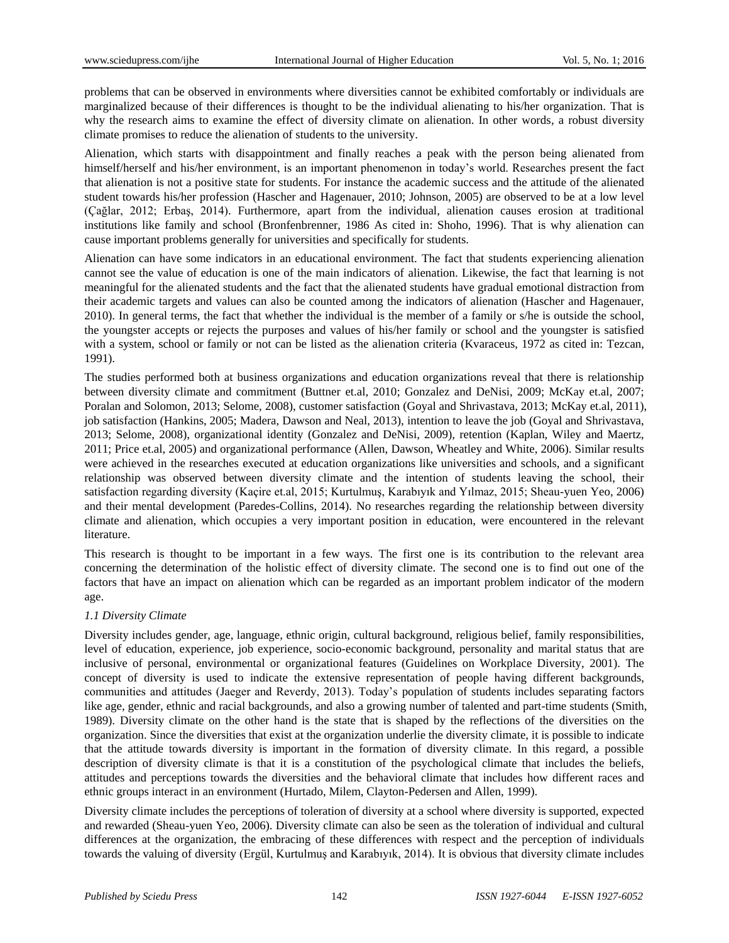problems that can be observed in environments where diversities cannot be exhibited comfortably or individuals are marginalized because of their differences is thought to be the individual alienating to his/her organization. That is why the research aims to examine the effect of diversity climate on alienation. In other words, a robust diversity climate promises to reduce the alienation of students to the university.

Alienation, which starts with disappointment and finally reaches a peak with the person being alienated from himself/herself and his/her environment, is an important phenomenon in today's world. Researches present the fact that alienation is not a positive state for students. For instance the academic success and the attitude of the alienated student towards his/her profession (Hascher and Hagenauer, 2010; Johnson, 2005) are observed to be at a low level (Çağlar, 2012; Erbaş, 2014). Furthermore, apart from the individual, alienation causes erosion at traditional institutions like family and school (Bronfenbrenner, 1986 As cited in: Shoho, 1996). That is why alienation can cause important problems generally for universities and specifically for students.

Alienation can have some indicators in an educational environment. The fact that students experiencing alienation cannot see the value of education is one of the main indicators of alienation. Likewise, the fact that learning is not meaningful for the alienated students and the fact that the alienated students have gradual emotional distraction from their academic targets and values can also be counted among the indicators of alienation (Hascher and Hagenauer, 2010). In general terms, the fact that whether the individual is the member of a family or s/he is outside the school, the youngster accepts or rejects the purposes and values of his/her family or school and the youngster is satisfied with a system, school or family or not can be listed as the alienation criteria (Kvaraceus, 1972 as cited in: Tezcan, 1991).

The studies performed both at business organizations and education organizations reveal that there is relationship between diversity climate and commitment (Buttner et.al, 2010; Gonzalez and DeNisi, 2009; McKay et.al, 2007; Poralan and Solomon, 2013; Selome, 2008), customer satisfaction (Goyal and Shrivastava, 2013; McKay et.al, 2011), job satisfaction (Hankins, 2005; Madera, Dawson and Neal, 2013), intention to leave the job (Goyal and Shrivastava, 2013; Selome, 2008), organizational identity (Gonzalez and DeNisi, 2009), retention (Kaplan, Wiley and Maertz, 2011; Price et.al, 2005) and organizational performance (Allen, Dawson, Wheatley and White, 2006). Similar results were achieved in the researches executed at education organizations like universities and schools, and a significant relationship was observed between diversity climate and the intention of students leaving the school, their satisfaction regarding diversity (Kaçire et.al, 2015; Kurtulmuş, Karabıyık and Yılmaz, 2015; Sheau-yuen Yeo, 2006) and their mental development (Paredes-Collins, 2014). No researches regarding the relationship between diversity climate and alienation, which occupies a very important position in education, were encountered in the relevant literature.

This research is thought to be important in a few ways. The first one is its contribution to the relevant area concerning the determination of the holistic effect of diversity climate. The second one is to find out one of the factors that have an impact on alienation which can be regarded as an important problem indicator of the modern age.

#### *1.1 Diversity Climate*

Diversity includes gender, age, language, ethnic origin, cultural background, religious belief, family responsibilities, level of education, experience, job experience, socio-economic background, personality and marital status that are inclusive of personal, environmental or organizational features (Guidelines on Workplace Diversity, 2001). The concept of diversity is used to indicate the extensive representation of people having different backgrounds, communities and attitudes (Jaeger and Reverdy, 2013). Today's population of students includes separating factors like age, gender, ethnic and racial backgrounds, and also a growing number of talented and part-time students (Smith, 1989). Diversity climate on the other hand is the state that is shaped by the reflections of the diversities on the organization. Since the diversities that exist at the organization underlie the diversity climate, it is possible to indicate that the attitude towards diversity is important in the formation of diversity climate. In this regard, a possible description of diversity climate is that it is a constitution of the psychological climate that includes the beliefs, attitudes and perceptions towards the diversities and the behavioral climate that includes how different races and ethnic groups interact in an environment (Hurtado, Milem, Clayton-Pedersen and Allen, 1999).

Diversity climate includes the perceptions of toleration of diversity at a school where diversity is supported, expected and rewarded (Sheau-yuen Yeo, 2006). Diversity climate can also be seen as the toleration of individual and cultural differences at the organization, the embracing of these differences with respect and the perception of individuals towards the valuing of diversity (Ergül, Kurtulmuş and Karabıyık, 2014). It is obvious that diversity climate includes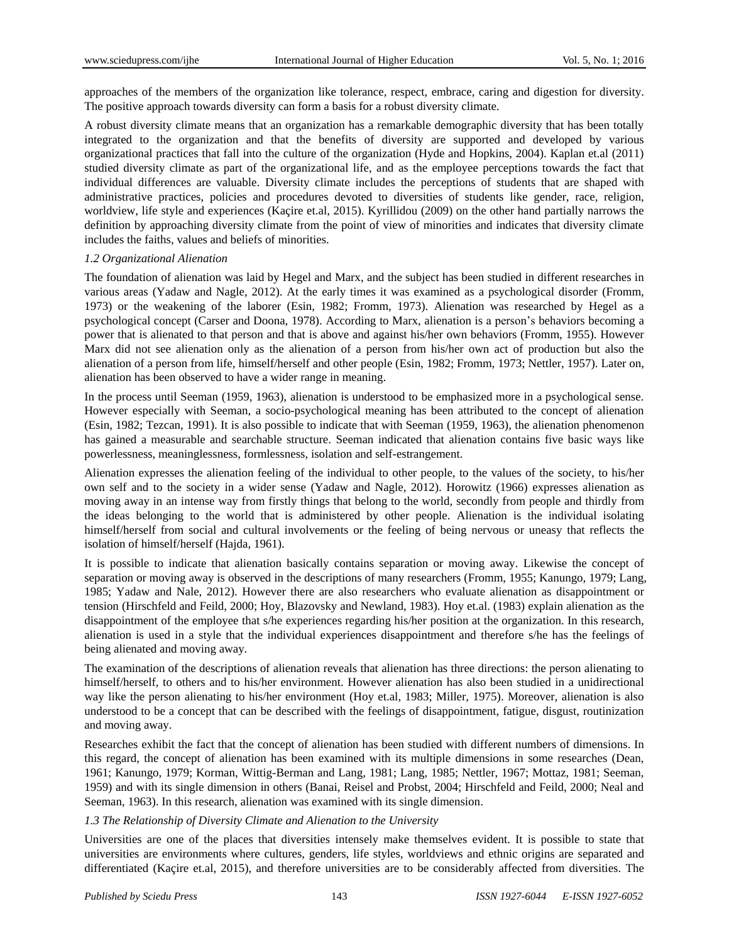approaches of the members of the organization like tolerance, respect, embrace, caring and digestion for diversity. The positive approach towards diversity can form a basis for a robust diversity climate.

A robust diversity climate means that an organization has a remarkable demographic diversity that has been totally integrated to the organization and that the benefits of diversity are supported and developed by various organizational practices that fall into the culture of the organization (Hyde and Hopkins, 2004). Kaplan et.al (2011) studied diversity climate as part of the organizational life, and as the employee perceptions towards the fact that individual differences are valuable. Diversity climate includes the perceptions of students that are shaped with administrative practices, policies and procedures devoted to diversities of students like gender, race, religion, worldview, life style and experiences (Ka qre et.al, 2015). Kyrillidou (2009) on the other hand partially narrows the definition by approaching diversity climate from the point of view of minorities and indicates that diversity climate includes the faiths, values and beliefs of minorities.

#### *1.2 Organizational Alienation*

The foundation of alienation was laid by Hegel and Marx, and the subject has been studied in different researches in various areas (Yadaw and Nagle, 2012). At the early times it was examined as a psychological disorder (Fromm, 1973) or the weakening of the laborer (Esin, 1982; Fromm, 1973). Alienation was researched by Hegel as a psychological concept (Carser and Doona, 1978). According to Marx, alienation is a person's behaviors becoming a power that is alienated to that person and that is above and against his/her own behaviors (Fromm, 1955). However Marx did not see alienation only as the alienation of a person from his/her own act of production but also the alienation of a person from life, himself/herself and other people (Esin, 1982; Fromm, 1973; Nettler, 1957). Later on, alienation has been observed to have a wider range in meaning.

In the process until Seeman (1959, 1963), alienation is understood to be emphasized more in a psychological sense. However especially with Seeman, a socio-psychological meaning has been attributed to the concept of alienation (Esin, 1982; Tezcan, 1991). It is also possible to indicate that with Seeman (1959, 1963), the alienation phenomenon has gained a measurable and searchable structure. Seeman indicated that alienation contains five basic ways like powerlessness, meaninglessness, formlessness, isolation and self-estrangement.

Alienation expresses the alienation feeling of the individual to other people, to the values of the society, to his/her own self and to the society in a wider sense (Yadaw and Nagle, 2012). Horowitz (1966) expresses alienation as moving away in an intense way from firstly things that belong to the world, secondly from people and thirdly from the ideas belonging to the world that is administered by other people. Alienation is the individual isolating himself/herself from social and cultural involvements or the feeling of being nervous or uneasy that reflects the isolation of himself/herself (Hajda, 1961).

It is possible to indicate that alienation basically contains separation or moving away. Likewise the concept of separation or moving away is observed in the descriptions of many researchers (Fromm, 1955; Kanungo, 1979; Lang, 1985; Yadaw and Nale, 2012). However there are also researchers who evaluate alienation as disappointment or tension (Hirschfeld and Feild, 2000; Hoy, Blazovsky and Newland, 1983). Hoy et.al. (1983) explain alienation as the disappointment of the employee that s/he experiences regarding his/her position at the organization. In this research, alienation is used in a style that the individual experiences disappointment and therefore s/he has the feelings of being alienated and moving away.

The examination of the descriptions of alienation reveals that alienation has three directions: the person alienating to himself/herself, to others and to his/her environment. However alienation has also been studied in a unidirectional way like the person alienating to his/her environment (Hoy et.al, 1983; Miller, 1975). Moreover, alienation is also understood to be a concept that can be described with the feelings of disappointment, fatigue, disgust, routinization and moving away.

Researches exhibit the fact that the concept of alienation has been studied with different numbers of dimensions. In this regard, the concept of alienation has been examined with its multiple dimensions in some researches (Dean, 1961; Kanungo, 1979; Korman, Wittig-Berman and Lang, 1981; Lang, 1985; Nettler, 1967; Mottaz, 1981; Seeman, 1959) and with its single dimension in others (Banai, Reisel and Probst, 2004; Hirschfeld and Feild, 2000; Neal and Seeman, 1963). In this research, alienation was examined with its single dimension.

#### *1.3 The Relationship of Diversity Climate and Alienation to the University*

Universities are one of the places that diversities intensely make themselves evident. It is possible to state that universities are environments where cultures, genders, life styles, worldviews and ethnic origins are separated and differentiated (Ka gire et.al, 2015), and therefore universities are to be considerably affected from diversities. The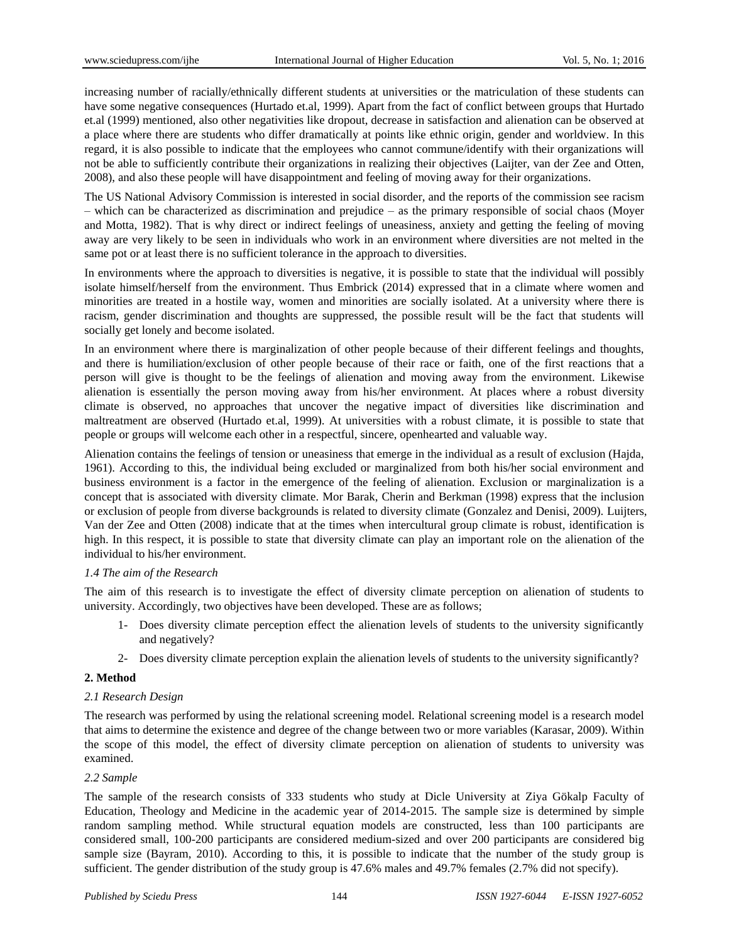increasing number of racially/ethnically different students at universities or the matriculation of these students can have some negative consequences (Hurtado et.al, 1999). Apart from the fact of conflict between groups that Hurtado et.al (1999) mentioned, also other negativities like dropout, decrease in satisfaction and alienation can be observed at a place where there are students who differ dramatically at points like ethnic origin, gender and worldview. In this regard, it is also possible to indicate that the employees who cannot commune/identify with their organizations will not be able to sufficiently contribute their organizations in realizing their objectives (Laijter, van der Zee and Otten, 2008), and also these people will have disappointment and feeling of moving away for their organizations.

The US National Advisory Commission is interested in social disorder, and the reports of the commission see racism – which can be characterized as discrimination and prejudice – as the primary responsible of social chaos (Moyer and Motta, 1982). That is why direct or indirect feelings of uneasiness, anxiety and getting the feeling of moving away are very likely to be seen in individuals who work in an environment where diversities are not melted in the same pot or at least there is no sufficient tolerance in the approach to diversities.

In environments where the approach to diversities is negative, it is possible to state that the individual will possibly isolate himself/herself from the environment. Thus Embrick (2014) expressed that in a climate where women and minorities are treated in a hostile way, women and minorities are socially isolated. At a university where there is racism, gender discrimination and thoughts are suppressed, the possible result will be the fact that students will socially get lonely and become isolated.

In an environment where there is marginalization of other people because of their different feelings and thoughts, and there is humiliation/exclusion of other people because of their race or faith, one of the first reactions that a person will give is thought to be the feelings of alienation and moving away from the environment. Likewise alienation is essentially the person moving away from his/her environment. At places where a robust diversity climate is observed, no approaches that uncover the negative impact of diversities like discrimination and maltreatment are observed (Hurtado et.al, 1999). At universities with a robust climate, it is possible to state that people or groups will welcome each other in a respectful, sincere, openhearted and valuable way.

Alienation contains the feelings of tension or uneasiness that emerge in the individual as a result of exclusion (Hajda, 1961). According to this, the individual being excluded or marginalized from both his/her social environment and business environment is a factor in the emergence of the feeling of alienation. Exclusion or marginalization is a concept that is associated with diversity climate. Mor Barak, Cherin and Berkman (1998) express that the inclusion or exclusion of people from diverse backgrounds is related to diversity climate (Gonzalez and Denisi, 2009). Luijters, Van der Zee and Otten (2008) indicate that at the times when intercultural group climate is robust, identification is high. In this respect, it is possible to state that diversity climate can play an important role on the alienation of the individual to his/her environment.

## *1.4 The aim of the Research*

The aim of this research is to investigate the effect of diversity climate perception on alienation of students to university. Accordingly, two objectives have been developed. These are as follows;

- 1- Does diversity climate perception effect the alienation levels of students to the university significantly and negatively?
- 2- Does diversity climate perception explain the alienation levels of students to the university significantly?

## **2. Method**

## *2.1 Research Design*

The research was performed by using the relational screening model. Relational screening model is a research model that aims to determine the existence and degree of the change between two or more variables (Karasar, 2009). Within the scope of this model, the effect of diversity climate perception on alienation of students to university was examined.

## *2.2 Sample*

The sample of the research consists of 333 students who study at Dicle University at Ziya Gökalp Faculty of Education, Theology and Medicine in the academic year of 2014-2015. The sample size is determined by simple random sampling method. While structural equation models are constructed, less than 100 participants are considered small, 100-200 participants are considered medium-sized and over 200 participants are considered big sample size (Bayram, 2010). According to this, it is possible to indicate that the number of the study group is sufficient. The gender distribution of the study group is 47.6% males and 49.7% females (2.7% did not specify).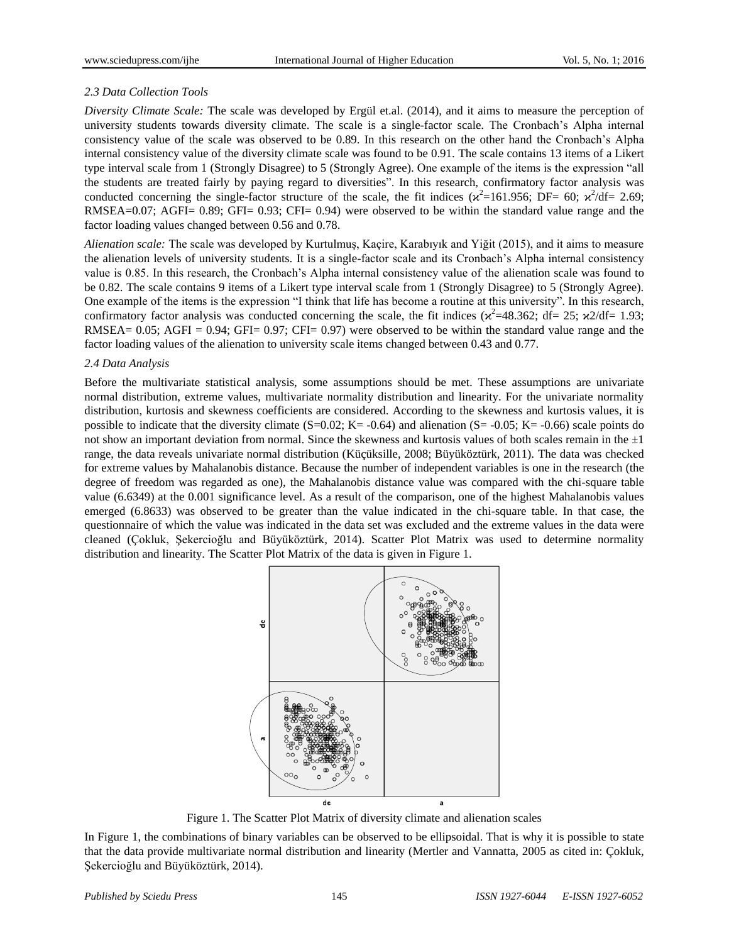## *2.3 Data Collection Tools*

*Diversity Climate Scale:* The scale was developed by Ergül et.al. (2014), and it aims to measure the perception of university students towards diversity climate. The scale is a single-factor scale. The Cronbach's Alpha internal consistency value of the scale was observed to be 0.89. In this research on the other hand the Cronbach's Alpha internal consistency value of the diversity climate scale was found to be 0.91. The scale contains 13 items of a Likert type interval scale from 1 (Strongly Disagree) to 5 (Strongly Agree). One example of the items is the expression "all the students are treated fairly by paying regard to diversities". In this research, confirmatory factor analysis was conducted concerning the single-factor structure of the scale, the fit indices ( $\alpha^2$ =161.956; DF= 60;  $\alpha^2$ /df= 2.69; RMSEA=0.07; AGFI= 0.89; GFI= 0.93; CFI= 0.94) were observed to be within the standard value range and the factor loading values changed between 0.56 and 0.78.

*Alienation scale:* The scale was developed by Kurtulmuş, Kaçire, Karabıyık and Yiğit (2015), and it aims to measure the alienation levels of university students. It is a single-factor scale and its Cronbach's Alpha internal consistency value is 0.85. In this research, the Cronbach's Alpha internal consistency value of the alienation scale was found to be 0.82. The scale contains 9 items of a Likert type interval scale from 1 (Strongly Disagree) to 5 (Strongly Agree). One example of the items is the expression "I think that life has become a routine at this university". In this research, confirmatory factor analysis was conducted concerning the scale, the fit indices ( $\alpha^2$ =48.362; df= 25;  $\alpha$ 2/df= 1.93; RMSEA=  $0.05$ ; AGFI =  $0.94$ ; GFI=  $0.97$ ; CFI=  $0.97$ ) were observed to be within the standard value range and the factor loading values of the alienation to university scale items changed between 0.43 and 0.77.

#### *2.4 Data Analysis*

Before the multivariate statistical analysis, some assumptions should be met. These assumptions are univariate normal distribution, extreme values, multivariate normality distribution and linearity. For the univariate normality distribution, kurtosis and skewness coefficients are considered. According to the skewness and kurtosis values, it is possible to indicate that the diversity climate (S=0.02; K= -0.64) and alienation (S= -0.05; K= -0.66) scale points do not show an important deviation from normal. Since the skewness and kurtosis values of both scales remain in the  $\pm 1$ range, the data reveals univariate normal distribution (Küçüksille, 2008; Büyüköztürk, 2011). The data was checked for extreme values by Mahalanobis distance. Because the number of independent variables is one in the research (the degree of freedom was regarded as one), the Mahalanobis distance value was compared with the chi-square table value (6.6349) at the 0.001 significance level. As a result of the comparison, one of the highest Mahalanobis values emerged (6.8633) was observed to be greater than the value indicated in the chi-square table. In that case, the questionnaire of which the value was indicated in the data set was excluded and the extreme values in the data were cleaned (Çokluk, Şekercioğlu and Büyüköztürk, 2014). Scatter Plot Matrix was used to determine normality distribution and linearity. The Scatter Plot Matrix of the data is given in Figure 1.



Figure 1. The Scatter Plot Matrix of diversity climate and alienation scales

In Figure 1, the combinations of binary variables can be observed to be ellipsoidal. That is why it is possible to state that the data provide multivariate normal distribution and linearity (Mertler and Vannatta, 2005 as cited in: Çokluk, Şekercioğlu and Büyüköztürk, 2014).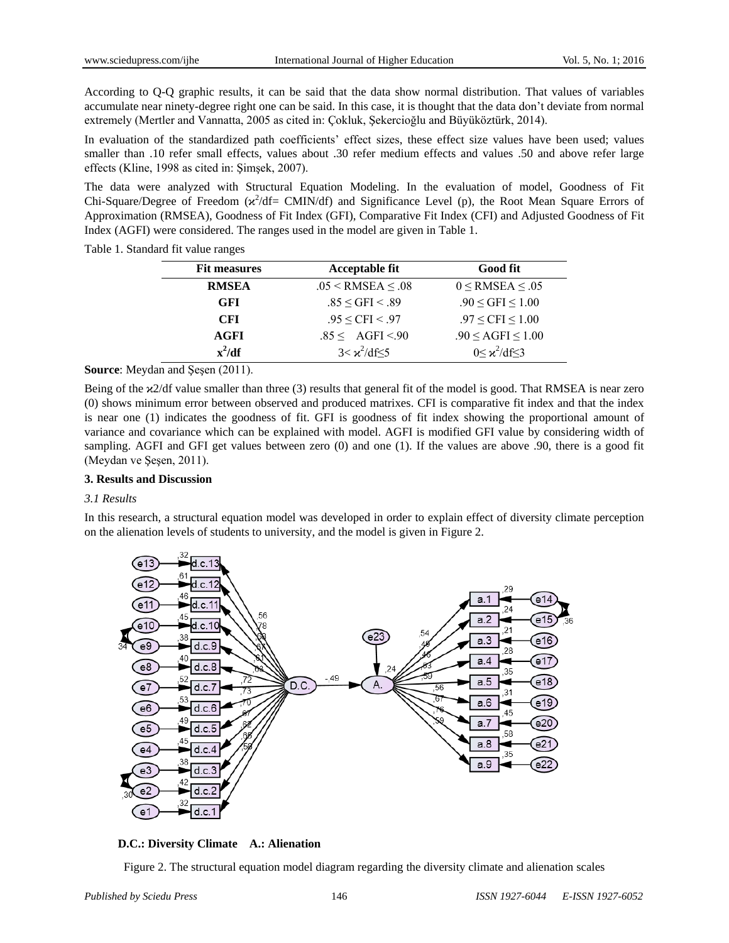According to Q-Q graphic results, it can be said that the data show normal distribution. That values of variables accumulate near ninety-degree right one can be said. In this case, it is thought that the data don't deviate from normal extremely (Mertler and Vannatta, 2005 as cited in: Çokluk, Şekercioğlu and Büyüköztürk, 2014).

In evaluation of the standardized path coefficients' effect sizes, these effect size values have been used; values smaller than .10 refer small effects, values about .30 refer medium effects and values .50 and above refer large effects (Kline, 1998 as cited in: Şimşek, 2007).

The data were analyzed with Structural Equation Modeling. In the evaluation of model, Goodness of Fit Chi-Square/Degree of Freedom  $(x^2/df = CMIN/df)$  and Significance Level (p), the Root Mean Square Errors of Approximation (RMSEA), Goodness of Fit Index (GFI), Comparative Fit Index (CFI) and Adjusted Goodness of Fit Index (AGFI) were considered. The ranges used in the model are given in Table 1.

| <b>Fit measures</b> | Acceptable fit                  | Good fit                              |
|---------------------|---------------------------------|---------------------------------------|
| <b>RMSEA</b>        | $.05 <$ RMSEA $\leq .08$        | $0 \leq$ RMSEA $\leq$ .05             |
| <b>GFI</b>          | .85 < GFI < .89                 | .90 < GFI < 1.00                      |
| CFI.                | $.95 \leq CFI < .97$            | $.97 \leq CFI \leq 1.00$              |
| AGFI                | $.85 \leq \text{AGFI} \leq .90$ | $.90 \leq \text{AGFI} \leq 1.00$      |
| $x^2/df$            | $3 < \frac{\chi^2}{df} \leq 5$  | $0 \le \frac{\varkappa^2}{df} \leq 3$ |

Table 1. Standard fit value ranges

**Source**: Meydan and Şeşen (2011).

Being of the  $\alpha$ 2/df value smaller than three (3) results that general fit of the model is good. That RMSEA is near zero (0) shows minimum error between observed and produced matrixes. CFI is comparative fit index and that the index is near one (1) indicates the goodness of fit. GFI is goodness of fit index showing the proportional amount of variance and covariance which can be explained with model. AGFI is modified GFI value by considering width of sampling. AGFI and GFI get values between zero (0) and one (1). If the values are above .90, there is a good fit (Meydan ve Şeşen, 2011).

## **3. Results and Discussion**

#### *3.1 Results*

In this research, a structural equation model was developed in order to explain effect of diversity climate perception on the alienation levels of students to university, and the model is given in Figure 2.



**D.C.: Diversity Climate A.: Alienation** 

Figure 2. The structural equation model diagram regarding the diversity climate and alienation scales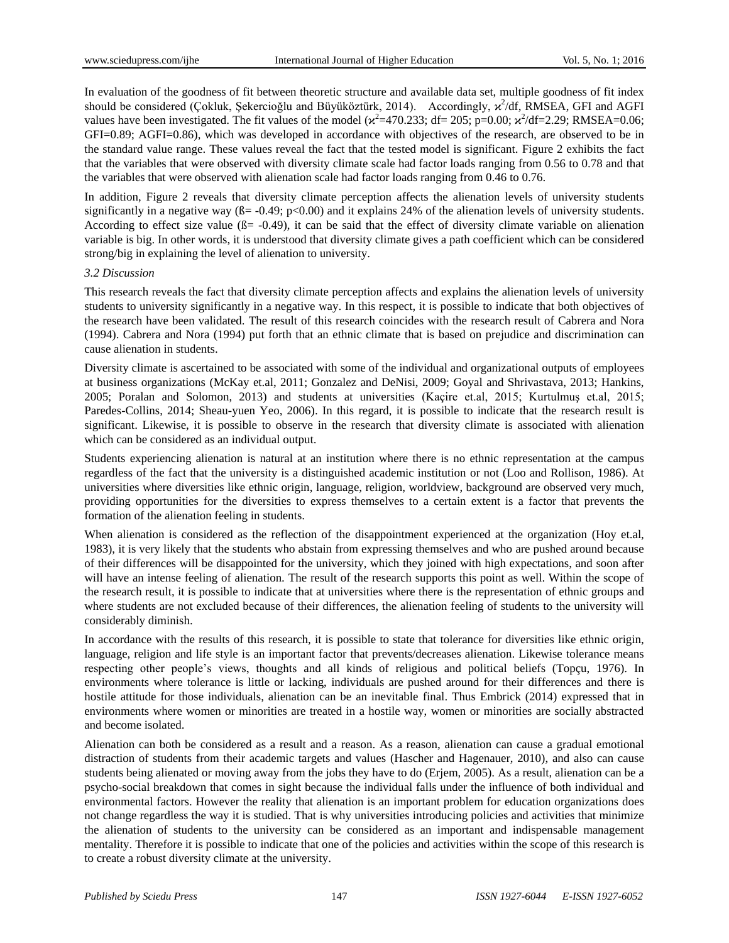In evaluation of the goodness of fit between theoretic structure and available data set, multiple goodness of fit index should be considered (Çokluk, Şekercioğlu and Büyüköztürk, 2014). Accordingly,  $x^2/df$ , RMSEA, GFI and AGFI values have been investigated. The fit values of the model  $(x^2=470.233; df = 205; p=0.00; x^2/df = 2.29; RMSEA = 0.06;$ GFI=0.89; AGFI=0.86), which was developed in accordance with objectives of the research, are observed to be in the standard value range. These values reveal the fact that the tested model is significant. Figure 2 exhibits the fact that the variables that were observed with diversity climate scale had factor loads ranging from 0.56 to 0.78 and that the variables that were observed with alienation scale had factor loads ranging from 0.46 to 0.76.

In addition, Figure 2 reveals that diversity climate perception affects the alienation levels of university students significantly in a negative way ( $\beta$ = -0.49; p<0.00) and it explains 24% of the alienation levels of university students. According to effect size value ( $\beta$ = -0.49), it can be said that the effect of diversity climate variable on alienation variable is big. In other words, it is understood that diversity climate gives a path coefficient which can be considered strong/big in explaining the level of alienation to university.

#### *3.2 Discussion*

This research reveals the fact that diversity climate perception affects and explains the alienation levels of university students to university significantly in a negative way. In this respect, it is possible to indicate that both objectives of the research have been validated. The result of this research coincides with the research result of Cabrera and Nora (1994). Cabrera and Nora (1994) put forth that an ethnic climate that is based on prejudice and discrimination can cause alienation in students.

Diversity climate is ascertained to be associated with some of the individual and organizational outputs of employees at business organizations (McKay et.al, 2011; Gonzalez and DeNisi, 2009; Goyal and Shrivastava, 2013; Hankins, 2005; Poralan and Solomon, 2013) and students at universities (Kaçire et.al, 2015; Kurtulmuş et.al, 2015; Paredes-Collins, 2014; Sheau-yuen Yeo, 2006). In this regard, it is possible to indicate that the research result is significant. Likewise, it is possible to observe in the research that diversity climate is associated with alienation which can be considered as an individual output.

Students experiencing alienation is natural at an institution where there is no ethnic representation at the campus regardless of the fact that the university is a distinguished academic institution or not (Loo and Rollison, 1986). At universities where diversities like ethnic origin, language, religion, worldview, background are observed very much, providing opportunities for the diversities to express themselves to a certain extent is a factor that prevents the formation of the alienation feeling in students.

When alienation is considered as the reflection of the disappointment experienced at the organization (Hoy et.al, 1983), it is very likely that the students who abstain from expressing themselves and who are pushed around because of their differences will be disappointed for the university, which they joined with high expectations, and soon after will have an intense feeling of alienation. The result of the research supports this point as well. Within the scope of the research result, it is possible to indicate that at universities where there is the representation of ethnic groups and where students are not excluded because of their differences, the alienation feeling of students to the university will considerably diminish.

In accordance with the results of this research, it is possible to state that tolerance for diversities like ethnic origin, language, religion and life style is an important factor that prevents/decreases alienation. Likewise tolerance means respecting other people's views, thoughts and all kinds of religious and political beliefs (Topqu, 1976). In environments where tolerance is little or lacking, individuals are pushed around for their differences and there is hostile attitude for those individuals, alienation can be an inevitable final. Thus Embrick (2014) expressed that in environments where women or minorities are treated in a hostile way, women or minorities are socially abstracted and become isolated.

Alienation can both be considered as a result and a reason. As a reason, alienation can cause a gradual emotional distraction of students from their academic targets and values (Hascher and Hagenauer, 2010), and also can cause students being alienated or moving away from the jobs they have to do (Erjem, 2005). As a result, alienation can be a psycho-social breakdown that comes in sight because the individual falls under the influence of both individual and environmental factors. However the reality that alienation is an important problem for education organizations does not change regardless the way it is studied. That is why universities introducing policies and activities that minimize the alienation of students to the university can be considered as an important and indispensable management mentality. Therefore it is possible to indicate that one of the policies and activities within the scope of this research is to create a robust diversity climate at the university.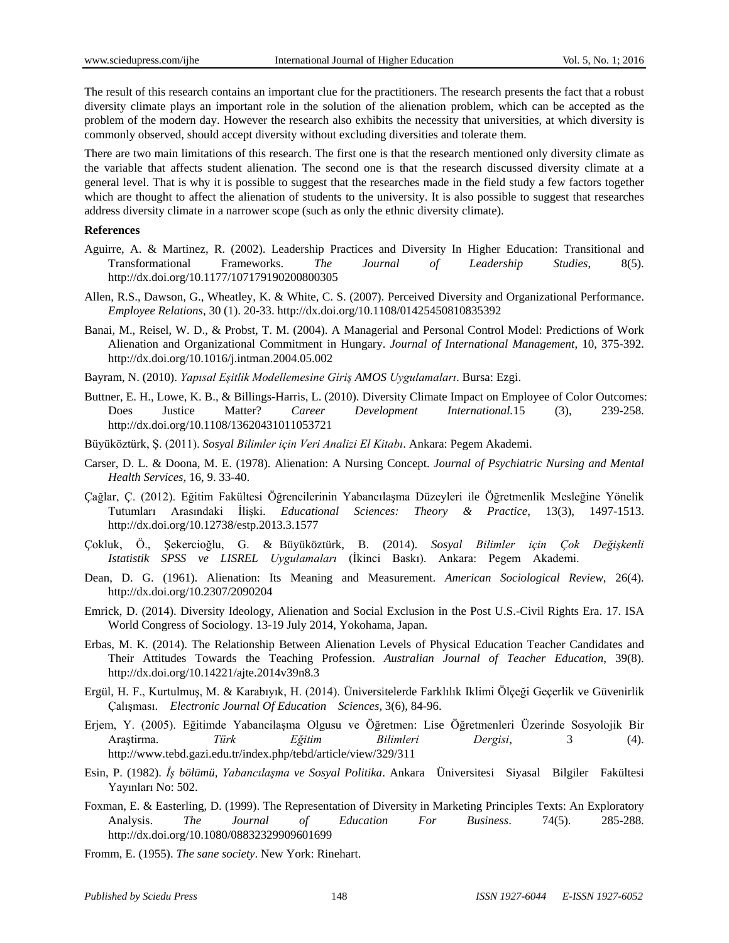The result of this research contains an important clue for the practitioners. The research presents the fact that a robust diversity climate plays an important role in the solution of the alienation problem, which can be accepted as the problem of the modern day. However the research also exhibits the necessity that universities, at which diversity is commonly observed, should accept diversity without excluding diversities and tolerate them.

There are two main limitations of this research. The first one is that the research mentioned only diversity climate as the variable that affects student alienation. The second one is that the research discussed diversity climate at a general level. That is why it is possible to suggest that the researches made in the field study a few factors together which are thought to affect the alienation of students to the university. It is also possible to suggest that researches address diversity climate in a narrower scope (such as only the ethnic diversity climate).

#### **References**

- Aguirre, A. & Martinez, R. (2002). Leadership Practices and Diversity In Higher Education: Transitional and Transformational Frameworks. *The Journal of Leadership Studies*, 8(5). <http://dx.doi.org/10.1177/107179190200800305>
- Allen, R.S., Dawson, G., Wheatley, K. & White, C. S. (2007). Perceived Diversity and Organizational Performance. *Employee Relations*, 30 (1). 20-33. <http://dx.doi.org/10.1108/01425450810835392>
- Banai, M., Reisel, W. D., & Probst, T. M. (2004). A Managerial and Personal Control Model: Predictions of Work Alienation and Organizational Commitment in Hungary. *Journal of International Management*, 10, 375-392. <http://dx.doi.org/10.1016/j.intman.2004.05.002>
- Bayram, N. (2010). *Yapısal Eşitlik Modellemesine Giriş AMOS Uygulamaları*. Bursa: Ezgi.
- Buttner, E. H., Lowe, K. B., & Billings-Harris, L. (2010). Diversity Climate Impact on Employee of Color Outcomes: Does Justice Matter? *Career Development International.*15 (3), 239-258. <http://dx.doi.org/10.1108/13620431011053721>
- Büyüköztürk, Ş. (2011). *Sosyal Bilimler için Veri Analizi El Kitabı*. Ankara: Pegem Akademi.
- Carser, D. L. & Doona, M. E. (1978). Alienation: A Nursing Concept. *Journal of Psychiatric Nursing and Mental Health Services*, 16, 9. 33-40.
- Çağlar, Ç. (2012). Eğitim Fakültesi Öğrencilerinin Yabancılaşma Düzeyleri ile Öğretmenlik Mesleğine Yönelik Tutumları Arasındaki İlişki. *Educational Sciences: Theory & Practice,* 13(3), 1497-1513. <http://dx.doi.org/10.12738/estp.2013.3.1577>
- Çokluk, Ö., Şekercioğlu, G. & Büyüköztürk, B. (2014). *Sosyal Bilimler için Çok Değişkenli Istatistik SPSS ve LISREL Uygulamaları* (İkinci Baskı). Ankara: Pegem Akademi.
- Dean, D. G. (1961). Alienation: Its Meaning and Measurement. *American Sociological Review*, 26(4). <http://dx.doi.org/10.2307/2090204>
- Emrick, D. (2014). Diversity Ideology, Alienation and Social Exclusion in the Post U.S.-Civil Rights Era. 17. ISA World Congress of Sociology. 13-19 July 2014, Yokohama, Japan.
- Erbas, M. K. (2014). The Relationship Between Alienation Levels of Physical Education Teacher Candidates and Their Attitudes Towards the Teaching Profession. *Australian Journal of Teacher Education*, 39(8). <http://dx.doi.org/10.14221/ajte.2014v39n8.3>
- Ergül, H. F., Kurtulmuş, M. & Karabıyık, H. (2014). Üniversitelerde Farklılık Iklimi Ölçeği Geçerlik ve Güvenirlik Çalışması. *Electronic Journal Of Education Sciences*, 3(6), 84-96.
- Erjem, Y. (2005). Eğitimde Yabancilaşma Olgusu ve Öğretmen: Lise Öğretmenleri Üzerinde Sosyolojik Bir Araştirma. *Türk Eğitim Bilimleri Dergisi*, 3 (4). http://www.tebd.gazi.edu.tr/index.php/tebd/article/view/329/311
- Esin, P. (1982). *İş bölümü, Yabancılaşma ve Sosyal Politika*. Ankara Üniversitesi Siyasal Bilgiler Fakültesi Yayınları No: 502.
- Foxman, E. & Easterling, D. (1999). The Representation of Diversity in Marketing Principles Texts: An Exploratory Analysis. *The Journal of Education For Business*. 74(5). 285-288. <http://dx.doi.org/10.1080/08832329909601699>
- Fromm, E. (1955). *The sane society*. New York: Rinehart.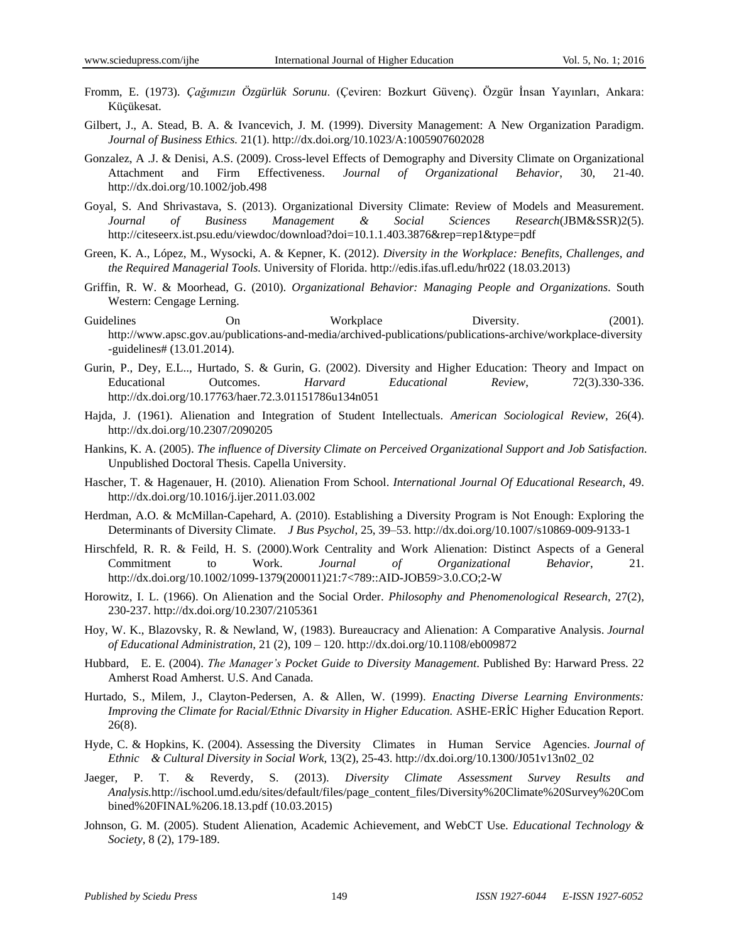- Fromm, E. (1973). *Çağımızın Özgürlük Sorunu*. (Çeviren: Bozkurt Güvenç). Özgür İnsan Yayınları, Ankara: Küçükesat.
- Gilbert, J., A. Stead, B. A. & Ivancevich, J. M. (1999). Diversity Management: A New Organization Paradigm. *Journal of Business Ethics.* 21(1).<http://dx.doi.org/10.1023/A:1005907602028>
- Gonzalez, A .J. & Denisi, A.S. (2009). Cross-level Effects of Demography and Diversity Climate on Organizational Attachment and Firm Effectiveness. *Journal of Organizational Behavior*, 30, 21-40. <http://dx.doi.org/10.1002/job.498>
- Goyal, S. And Shrivastava, S. (2013). Organizational Diversity Climate: Review of Models and Measurement. *Journal of Business Management & Social Sciences Research*(JBM&SSR)2(5). http://citeseerx.ist.psu.edu/viewdoc/download?doi=10.1.1.403.3876&rep=rep1&type=pdf
- Green, K. A., López, M., Wysocki, A. & Kepner, K. (2012). *Diversity in the Workplace: Benefits, Challenges, and the Required Managerial Tools.* University of Florida. [http://edis.ifas.ufl.edu/hr022 \(18.03.2013\)](http://edis.ifas.ufl.edu/hr022%20(18.03.2013)
- Griffin, R. W. & Moorhead, G. (2010). *Organizational Behavior: Managing People and Organizations*. South Western: Cengage Lerning.
- Guidelines **On Workplace** Diversity. (2001). [http://www.apsc.gov.au/publications-and-media/archived-publications/publications-archive/workplace-diversity](http://www.apsc.gov.au/publications-and-media/archived-publications/publications-archive/workplace-diversity-guidelines) [-guidelines#](http://www.apsc.gov.au/publications-and-media/archived-publications/publications-archive/workplace-diversity-guidelines) (13.01.2014).
- Gurin, P., Dey, E.L.., Hurtado, S. & Gurin, G. (2002). Diversity and Higher Education: Theory and Impact on Educational Outcomes. *Harvard Educational Review*, 72(3).330-336. <http://dx.doi.org/10.17763/haer.72.3.01151786u134n051>
- Hajda, J. (1961). Alienation and Integration of Student Intellectuals. *American Sociological Review*, 26(4). <http://dx.doi.org/10.2307/2090205>
- Hankins, K. A. (2005). *The influence of Diversity Climate on Perceived Organizational Support and Job Satisfaction*. Unpublished Doctoral Thesis. Capella University.
- Hascher, T. & Hagenauer, H. (2010). Alienation From School. *International Journal Of Educational Research*, 49. <http://dx.doi.org/10.1016/j.ijer.2011.03.002>
- Herdman, A.O. & McMillan-Capehard, A. (2010). Establishing a Diversity Program is Not Enough: Exploring the Determinants of Diversity Climate. *J Bus Psychol*, 25, 39–53.<http://dx.doi.org/10.1007/s10869-009-9133-1>
- Hirschfeld, R. R. & Feild, H. S. (2000).Work Centrality and Work Alienation: Distinct Aspects of a General Commitment to Work. *Journal of Organizational Behavior*, 21. [http://dx.doi.org/10.1002/1099-1379\(200011\)21:7<789::AID-JOB59>3.0.CO;2-W](http://dx.doi.org/10.1002/1099-1379(200011)21:7%3c789::AID-JOB59%3e3.0.CO;2-W)
- Horowitz, I. L. (1966). On Alienation and the Social Order. *Philosophy and Phenomenological Research*, 27(2), 230-237. <http://dx.doi.org/10.2307/2105361>
- Hoy, W. K., Blazovsky, R. & Newland, W, (1983). Bureaucracy and Alienation: A Comparative Analysis. *Journal of Educational Administration,* 21 (2), 109 – 120[. http://dx.doi.org/10.1108/eb009872](http://dx.doi.org/10.1108/eb009872)
- Hubbard, E. E. (2004). *The Manager's Pocket Guide to Diversity Management*. Published By: Harward Press. 22 Amherst Road Amherst. U.S. And Canada.
- Hurtado, S., Milem, J., Clayton-Pedersen, A. & Allen, W. (1999). *Enacting Diverse Learning Environments: Improving the Climate for Racial/Ethnic Divarsity in Higher Education.* ASHE-ERİC Higher Education Report. 26(8).
- Hyde, C. & Hopkins, K. (2004). Assessing the Diversity Climates in Human Service Agencies. *Journal of Ethnic & Cultural Diversity in Social Work*, 13(2), 25-43. [http://dx.doi.org/10.1300/J051v13n02\\_02](http://dx.doi.org/10.1300/J051v13n02_02)
- Jaeger, P. T. & Reverdy, S. (2013). *Diversity Climate Assessment Survey Results and Analysis.*http://ischool.umd.edu/sites/default/files/page\_content\_files/Diversity%20Climate%20Survey%20Com bined%20FINAL%206.18.13.pdf (10.03.2015)
- Johnson, G. M. (2005). Student Alienation, Academic Achievement, and WebCT Use. *Educational Technology & Society,* 8 (2), 179-189.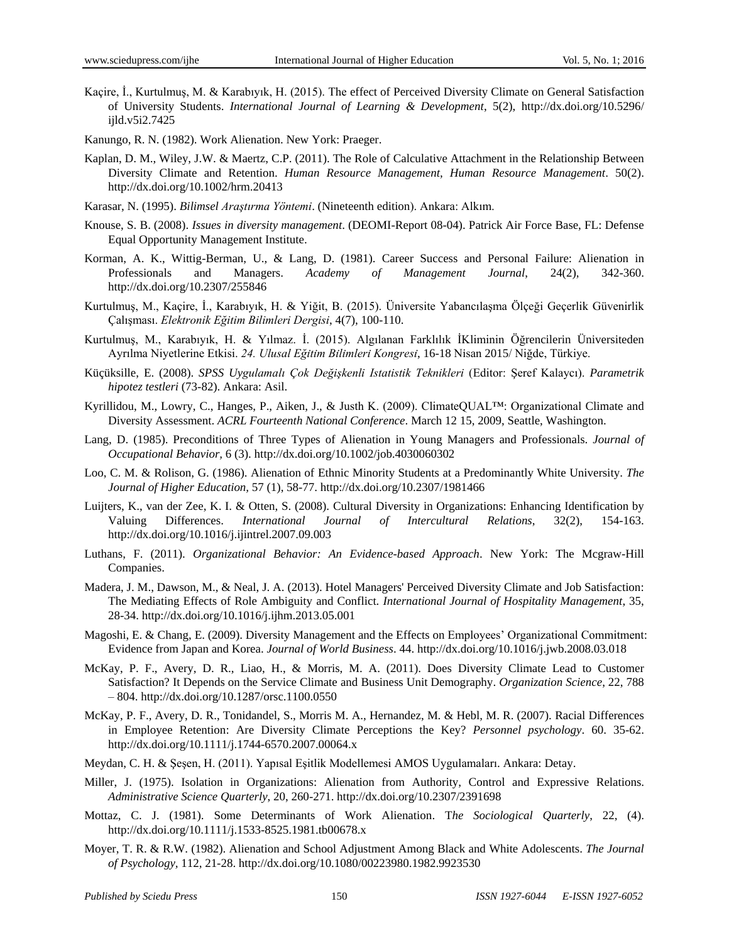- Kaçire, İ., Kurtulmuş, M. & Karabıyık, H. (2015). The effect of Perceived Diversity Climate on General Satisfaction of University Students. *International Journal of Learning & Development*, 5(2), http://dx.doi.org/10.5296/ ijld.v5i2.7425
- Kanungo, R. N. (1982). Work Alienation. New York: Praeger.
- Kaplan, D. M., Wiley, J.W. & Maertz, C.P. (2011). The Role of Calculative Attachment in the Relationship Between Diversity Climate and Retention. *Human Resource Management, Human Resource Management*. 50(2). <http://dx.doi.org/10.1002/hrm.20413>
- Karasar, N. (1995). *Bilimsel Araştırma Yöntemi*. (Nineteenth edition). Ankara: Alkım.
- Knouse, S. B. (2008). *Issues in diversity management*. (DEOMI-Report 08-04). Patrick Air Force Base, FL: Defense Equal Opportunity Management Institute.
- Korman, A. K., Wittig-Berman, U., & Lang, D. (1981). Career Success and Personal Failure: Alienation in Professionals and Managers. *Academy of Management Journal*, 24(2), 342-360. <http://dx.doi.org/10.2307/255846>
- Kurtulmuş, M., Kaçire, İ., Karabıyık, H. & Yiğit, B. (2015). Üniversite Yabancılaşma Ölçeği Geçerlik Güvenirlik Çalışması. *Elektronik Eğitim Bilimleri Dergisi*, 4(7), 100-110.
- Kurtulmuş, M., Karabıyık, H. & Yılmaz. İ. (2015). Algılanan Farklılık İKliminin Öğrencilerin Üniversiteden Ayrılma Niyetlerine Etkisi. *24. Ulusal Eğı̇tı̇m Bı̇lı̇mlerı̇ Kongresı̇*, 16-18 Nı̇san 2015/ Niğde, Türkiye.
- Küçüksille, E. (2008). *SPSS Uygulamalı Çok Değişkenli Istatistik Teknikleri* (Editor: Şeref Kalaycı). *Parametrik hipotez testleri* (73-82). Ankara: Asil.
- Kyrillidou, M., Lowry, C., Hanges, P., Aiken, J., & Justh K. (2009). ClimateQUAL™: Organizational Climate and Diversity Assessment. *ACRL Fourteenth National Conference*. March 12 15, 2009, Seattle, Washington.
- Lang, D. (1985). Preconditions of Three Types of Alienation in Young Managers and Professionals. *Journal of Occupational Behavior,* 6 (3). <http://dx.doi.org/10.1002/job.4030060302>
- Loo, C. M. & Rolison, G. (1986). Alienation of Ethnic Minority Students at a Predominantly White University. *The Journal of Higher Education,* 57 (1), 58-77. <http://dx.doi.org/10.2307/1981466>
- Luijters, K., van der Zee, K. I. & Otten, S. (2008). Cultural Diversity in Organizations: Enhancing Identification by Valuing Differences. *International Journal of Intercultural Relations*, 32(2), 154-163. <http://dx.doi.org/10.1016/j.ijintrel.2007.09.003>
- Luthans, F. (2011). *Organizational Behavior: An Evidence-based Approach*. New York: The Mcgraw-Hill Companies.
- Madera, J. M., Dawson, M., & Neal, J. A. (2013). Hotel Managers' Perceived Diversity Climate and Job Satisfaction: The Mediating Effects of Role Ambiguity and Conflict. *International Journal of Hospitality Management*, 35, 28-34. <http://dx.doi.org/10.1016/j.ijhm.2013.05.001>
- Magoshi, E. & Chang, E. (2009). Diversity Management and the Effects on Employees' Organizational Commitment: Evidence from Japan and Korea. *Journal of World Business*. 44[. http://dx.doi.org/10.1016/j.jwb.2008.03.018](http://dx.doi.org/10.1016/j.jwb.2008.03.018)
- McKay, P. F., Avery, D. R., Liao, H., & Morris, M. A. (2011). Does Diversity Climate Lead to Customer Satisfaction? It Depends on the Service Climate and Business Unit Demography. *Organization Science*, 22, 788 – 804. <http://dx.doi.org/10.1287/orsc.1100.0550>
- McKay, P. F., Avery, D. R., Tonidandel, S., Morris M. A., Hernandez, M. & Hebl, M. R. (2007). Racial Differences in Employee Retention: Are Diversity Climate Perceptions the Key? *Personnel psychology*. 60. 35-62. <http://dx.doi.org/10.1111/j.1744-6570.2007.00064.x>
- Meydan, C. H. & Şeşen, H. (2011). Yapısal Eşitlik Modellemesi AMOS Uygulamaları. Ankara: Detay.
- Miller, J. (1975). Isolation in Organizations: Alienation from Authority, Control and Expressive Relations. *Administrative Science Quarterly*, 20, 260-271. <http://dx.doi.org/10.2307/2391698>
- Mottaz, C. J. (1981). [Some Determinants of Work Alienation.](https://www.google.com.tr/url?sa=t&rct=j&q=&esrc=s&source=web&cd=1&cad=rja&uact=8&ved=0CBwQFjAA&url=http%3A%2F%2Fonlinelibrary.wiley.com%2Fdoi%2F10.1111%2Fj.1533-8525.1981.tb00678.x%2Fabstract&ei=qslZVYn1N6uqygOSj4D4Bg&usg=AFQjCNF_prouREEJR55JCM4Xf-IITpSbCg&sig2=8vwpzdOplr0_KVSdQhEXdw&bvm=bv.93564037,d.bGQ) T*[he Sociological Quarterly](http://onlinelibrary.wiley.com/journal/10.1111/(ISSN)1533-8525)*, [22, \(4\)](http://onlinelibrary.wiley.com/doi/10.1111/tsq.1981.22.issue-4/issuetoc). <http://dx.doi.org/10.1111/j.1533-8525.1981.tb00678.x>
- Moyer, T. R. & R.W. (1982). Alienation and School Adjustment Among Black and White Adolescents. *The Journal of Psychology,* 112, 21-28. <http://dx.doi.org/10.1080/00223980.1982.9923530>